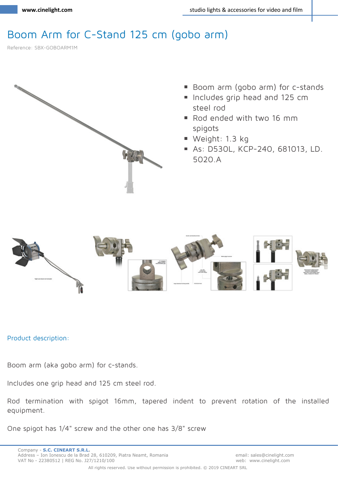## Boom Arm for C-Stand 125 cm (gobo arm)

Reference: SBX-GOBOARM1M



- Boom arm (gobo arm) for c-stands
- Includes grip head and 125 cm steel rod
- Rod ended with two 16 mm spigots
- Weight: 1.3 kg
- As: D530L, KCP-240, 681013, LD. 5020.A



**Product description:** 

Boom arm (aka gobo arm) for c-stands.

Includes one grip head and 125 cm steel rod.

Rod termination with spigot 16mm, tapered indent to prevent rotation of the installed equipment.

One spigot has 1/4" screw and the other one has 3/8" screw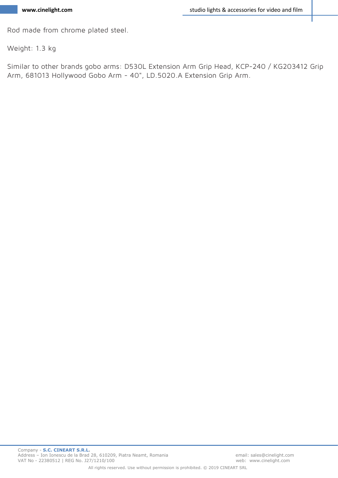Rod made from chrome plated steel.

Weight: 1.3 kg

Similar to other brands gobo arms: D530L Extension Arm Grip Head, KCP-240 / KG203412 Grip Arm, 681013 Hollywood Gobo Arm - 40", LD.5020.A Extension Grip Arm.